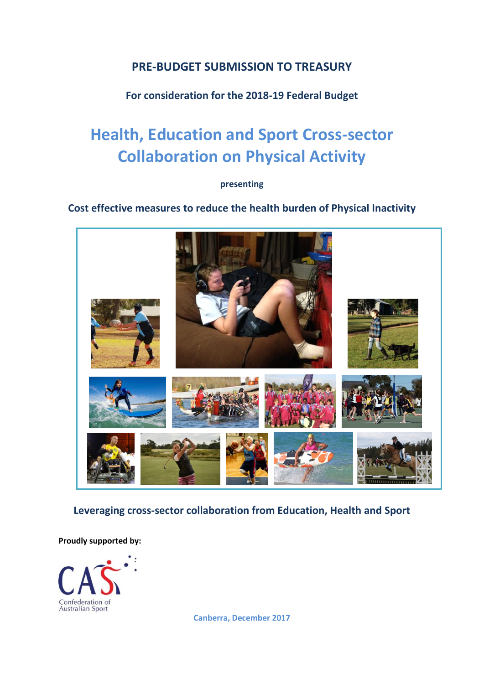## **PRE-BUDGET SUBMISSION TO TREASURY**

## **For consideration for the 2018-19 Federal Budget**

# **Health, Education and Sport Cross-sector Collaboration on Physical Activity**

### **presenting**

**Cost effective measures to reduce the health burden of Physical Inactivity**



**Leveraging cross-sector collaboration from Education, Health and Sport**

**Proudly supported by:** 



**Canberra, December 2017**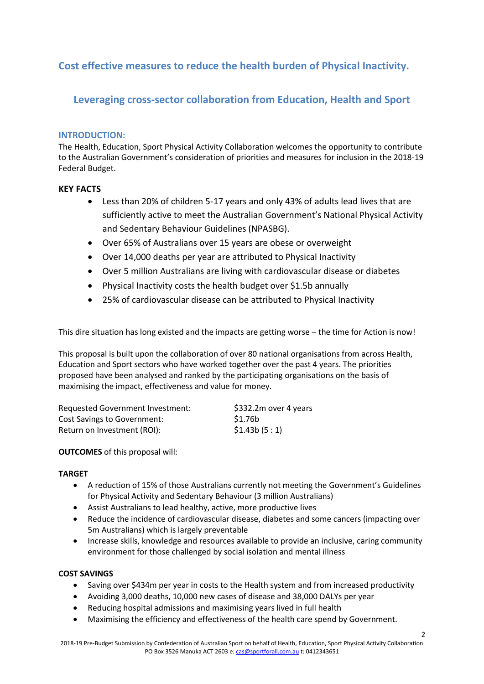## **Cost effective measures to reduce the health burden of Physical Inactivity.**

## **Leveraging cross-sector collaboration from Education, Health and Sport**

#### **INTRODUCTION:**

The Health, Education, Sport Physical Activity Collaboration welcomes the opportunity to contribute to the Australian Government's consideration of priorities and measures for inclusion in the 2018-19 Federal Budget.

#### **KEY FACTS**

- Less than 20% of children 5-17 years and only 43% of adults lead lives that are sufficiently active to meet the Australian Government's National Physical Activity and Sedentary Behaviour Guidelines (NPASBG).
- Over 65% of Australians over 15 years are obese or overweight
- Over 14,000 deaths per year are attributed to Physical Inactivity
- Over 5 million Australians are living with cardiovascular disease or diabetes
- Physical Inactivity costs the health budget over \$1.5b annually
- 25% of cardiovascular disease can be attributed to Physical Inactivity

This dire situation has long existed and the impacts are getting worse – the time for Action is now!

This proposal is built upon the collaboration of over 80 national organisations from across Health, Education and Sport sectors who have worked together over the past 4 years. The priorities proposed have been analysed and ranked by the participating organisations on the basis of maximising the impact, effectiveness and value for money.

| Requested Government Investment:   | \$332.2m over 4 years |
|------------------------------------|-----------------------|
| <b>Cost Savings to Government:</b> | \$1.76b               |
| Return on Investment (ROI):        | \$1.43b(5:1)          |

#### **OUTCOMES** of this proposal will:

#### **TARGET**

- A reduction of 15% of those Australians currently not meeting the Government's Guidelines for Physical Activity and Sedentary Behaviour (3 million Australians)
- Assist Australians to lead healthy, active, more productive lives
- Reduce the incidence of cardiovascular disease, diabetes and some cancers (impacting over 5m Australians) which is largely preventable
- Increase skills, knowledge and resources available to provide an inclusive, caring community environment for those challenged by social isolation and mental illness

#### **COST SAVINGS**

- Saving over \$434m per year in costs to the Health system and from increased productivity
- Avoiding 3,000 deaths, 10,000 new cases of disease and 38,000 DALYs per year
- Reducing hospital admissions and maximising years lived in full health
- Maximising the efficiency and effectiveness of the health care spend by Government.

 $\overline{2}$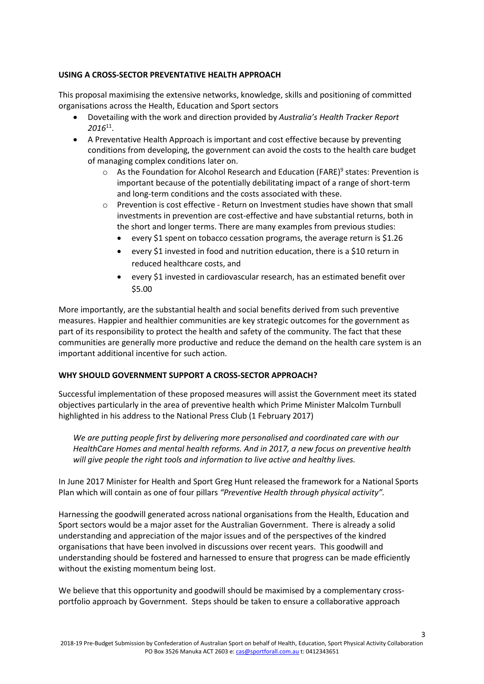#### **USING A CROSS-SECTOR PREVENTATIVE HEALTH APPROACH**

This proposal maximising the extensive networks, knowledge, skills and positioning of committed organisations across the Health, Education and Sport sectors

- Dovetailing with the work and direction provided by *Australia's Health Tracker Report 2016*<sup>11</sup> .
- A Preventative Health Approach is important and cost effective because by preventing conditions from developing, the government can avoid the costs to the health care budget of managing complex conditions later on.
	- $\circ$  As the Foundation for Alcohol Research and Education (FARE)<sup>9</sup> states: Prevention is important because of the potentially debilitating impact of a range of short-term and long-term conditions and the costs associated with these.
	- $\circ$  Prevention is cost effective Return on Investment studies have shown that small investments in prevention are cost-effective and have substantial returns, both in the short and longer terms. There are many examples from previous studies:
		- every \$1 spent on tobacco cessation programs, the average return is \$1.26
		- every \$1 invested in food and nutrition education, there is a \$10 return in reduced healthcare costs, and
		- every \$1 invested in cardiovascular research, has an estimated benefit over \$5.00

More importantly, are the substantial health and social benefits derived from such preventive measures. Happier and healthier communities are key strategic outcomes for the government as part of its responsibility to protect the health and safety of the community. The fact that these communities are generally more productive and reduce the demand on the health care system is an important additional incentive for such action.

#### **WHY SHOULD GOVERNMENT SUPPORT A CROSS-SECTOR APPROACH?**

Successful implementation of these proposed measures will assist the Government meet its stated objectives particularly in the area of preventive health which Prime Minister Malcolm Turnbull highlighted in his address to the National Press Club (1 February 2017)

*We are putting people first by delivering more personalised and coordinated care with our HealthCare Homes and mental health reforms. And in 2017, a new focus on preventive health will give people the right tools and information to live active and healthy lives.*

In June 2017 Minister for Health and Sport Greg Hunt released the framework for a National Sports Plan which will contain as one of four pillars *"Preventive Health through physical activity".*

Harnessing the goodwill generated across national organisations from the Health, Education and Sport sectors would be a major asset for the Australian Government. There is already a solid understanding and appreciation of the major issues and of the perspectives of the kindred organisations that have been involved in discussions over recent years. This goodwill and understanding should be fostered and harnessed to ensure that progress can be made efficiently without the existing momentum being lost.

We believe that this opportunity and goodwill should be maximised by a complementary crossportfolio approach by Government. Steps should be taken to ensure a collaborative approach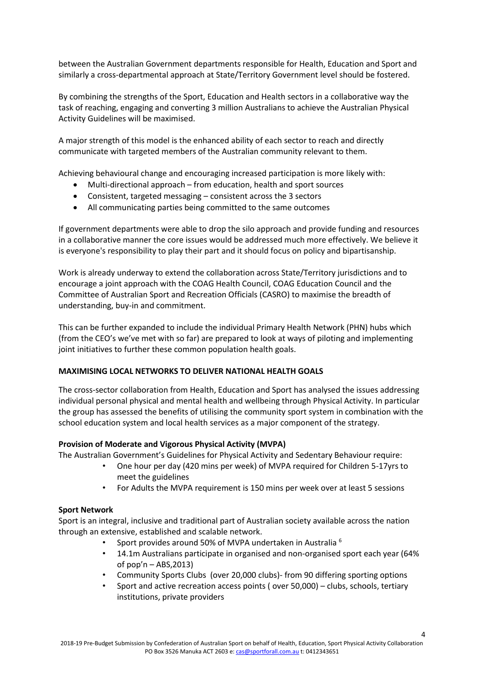between the Australian Government departments responsible for Health, Education and Sport and similarly a cross-departmental approach at State/Territory Government level should be fostered.

By combining the strengths of the Sport, Education and Health sectors in a collaborative way the task of reaching, engaging and converting 3 million Australians to achieve the Australian Physical Activity Guidelines will be maximised.

A major strength of this model is the enhanced ability of each sector to reach and directly communicate with targeted members of the Australian community relevant to them.

Achieving behavioural change and encouraging increased participation is more likely with:

- Multi-directional approach from education, health and sport sources
- Consistent, targeted messaging consistent across the 3 sectors
- All communicating parties being committed to the same outcomes

If government departments were able to drop the silo approach and provide funding and resources in a collaborative manner the core issues would be addressed much more effectively. We believe it is everyone's responsibility to play their part and it should focus on policy and bipartisanship.

Work is already underway to extend the collaboration across State/Territory jurisdictions and to encourage a joint approach with the COAG Health Council, COAG Education Council and the Committee of Australian Sport and Recreation Officials (CASRO) to maximise the breadth of understanding, buy-in and commitment.

This can be further expanded to include the individual Primary Health Network (PHN) hubs which (from the CEO's we've met with so far) are prepared to look at ways of piloting and implementing joint initiatives to further these common population health goals.

#### **MAXIMISING LOCAL NETWORKS TO DELIVER NATIONAL HEALTH GOALS**

The cross-sector collaboration from Health, Education and Sport has analysed the issues addressing individual personal physical and mental health and wellbeing through Physical Activity. In particular the group has assessed the benefits of utilising the community sport system in combination with the school education system and local health services as a major component of the strategy.

#### **Provision of Moderate and Vigorous Physical Activity (MVPA)**

The Australian Government's Guidelines for Physical Activity and Sedentary Behaviour require:

- One hour per day (420 mins per week) of MVPA required for Children 5-17yrs to meet the guidelines
	- For Adults the MVPA requirement is 150 mins per week over at least 5 sessions

#### **Sport Network**

Sport is an integral, inclusive and traditional part of Australian society available across the nation through an extensive, established and scalable network.

- Sport provides around 50% of MVPA undertaken in Australia <sup>6</sup>
- 14.1m Australians participate in organised and non-organised sport each year (64% of pop'n – ABS,2013)
- Community Sports Clubs (over 20,000 clubs)- from 90 differing sporting options
- Sport and active recreation access points ( over 50,000) clubs, schools, tertiary institutions, private providers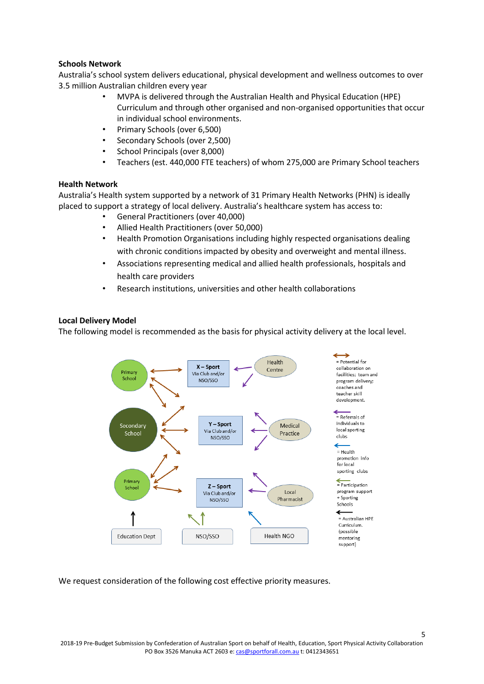#### **Schools Network**

Australia's school system delivers educational, physical development and wellness outcomes to over 3.5 million Australian children every year

- MVPA is delivered through the Australian Health and Physical Education (HPE) Curriculum and through other organised and non-organised opportunities that occur in individual school environments.
- Primary Schools (over 6,500)
- Secondary Schools (over 2,500)
- School Principals (over 8,000)
- Teachers (est. 440,000 FTE teachers) of whom 275,000 are Primary School teachers

#### **Health Network**

Australia's Health system supported by a network of 31 Primary Health Networks (PHN) is ideally placed to support a strategy of local delivery. Australia's healthcare system has access to:

- General Practitioners (over 40,000)
- Allied Health Practitioners (over 50,000)
- Health Promotion Organisations including highly respected organisations dealing with chronic conditions impacted by obesity and overweight and mental illness.
- Associations representing medical and allied health professionals, hospitals and health care providers
- Research institutions, universities and other health collaborations

#### **Local Delivery Model**

The following model is recommended as the basis for physical activity delivery at the local level.



We request consideration of the following cost effective priority measures.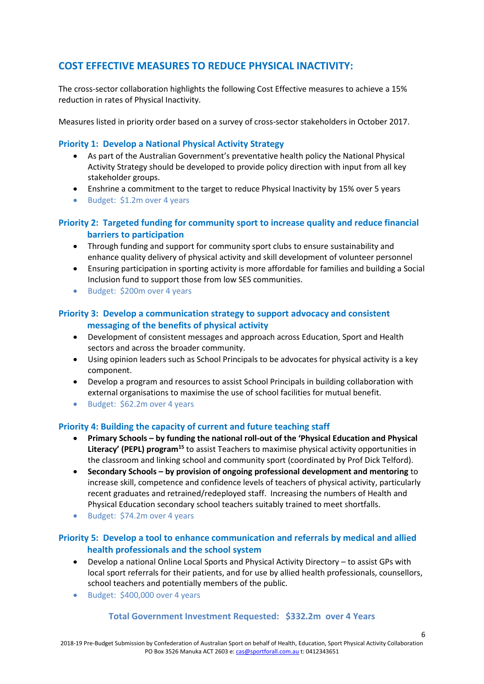## **COST EFFECTIVE MEASURES TO REDUCE PHYSICAL INACTIVITY:**

The cross-sector collaboration highlights the following Cost Effective measures to achieve a 15% reduction in rates of Physical Inactivity.

Measures listed in priority order based on a survey of cross-sector stakeholders in October 2017.

#### **Priority 1: Develop a National Physical Activity Strategy**

- As part of the Australian Government's preventative health policy the National Physical Activity Strategy should be developed to provide policy direction with input from all key stakeholder groups.
- Enshrine a commitment to the target to reduce Physical Inactivity by 15% over 5 years
- Budget: \$1.2m over 4 years

### **Priority 2: Targeted funding for community sport to increase quality and reduce financial barriers to participation**

- Through funding and support for community sport clubs to ensure sustainability and enhance quality delivery of physical activity and skill development of volunteer personnel
- Ensuring participation in sporting activity is more affordable for families and building a Social Inclusion fund to support those from low SES communities.
- Budget: \$200m over 4 years

#### **Priority 3: Develop a communication strategy to support advocacy and consistent messaging of the benefits of physical activity**

- Development of consistent messages and approach across Education, Sport and Health sectors and across the broader community.
- Using opinion leaders such as School Principals to be advocates for physical activity is a key component.
- Develop a program and resources to assist School Principals in building collaboration with external organisations to maximise the use of school facilities for mutual benefit.
- Budget: \$62.2m over 4 years

#### **Priority 4: Building the capacity of current and future teaching staff**

- **Primary Schools – by funding the national roll-out of the 'Physical Education and Physical Literacy' (PEPL) program<sup>15</sup>** to assist Teachers to maximise physical activity opportunities in the classroom and linking school and community sport (coordinated by Prof Dick Telford).
- **Secondary Schools – by provision of ongoing professional development and mentoring** to increase skill, competence and confidence levels of teachers of physical activity, particularly recent graduates and retrained/redeployed staff. Increasing the numbers of Health and Physical Education secondary school teachers suitably trained to meet shortfalls.
- Budget: \$74.2m over 4 years

### **Priority 5: Develop a tool to enhance communication and referrals by medical and allied health professionals and the school system**

- Develop a national Online Local Sports and Physical Activity Directory to assist GPs with local sport referrals for their patients, and for use by allied health professionals, counsellors, school teachers and potentially members of the public.
- Budget: \$400,000 over 4 years

#### **Total Government Investment Requested: \$332.2m over 4 Years**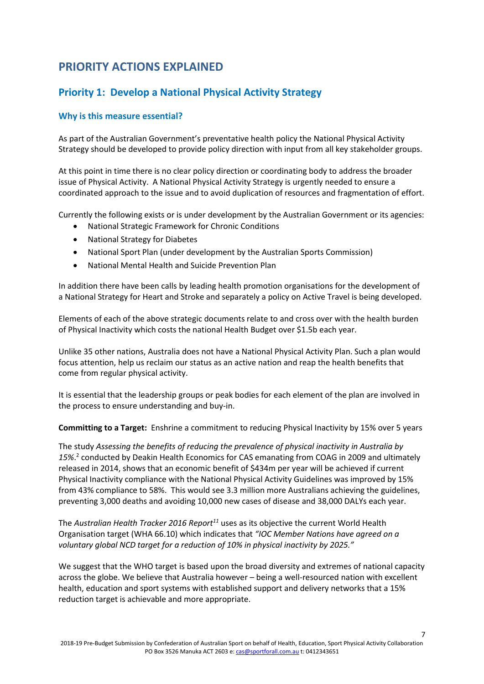## **PRIORITY ACTIONS EXPLAINED**

## **Priority 1: Develop a National Physical Activity Strategy**

#### **Why is this measure essential?**

As part of the Australian Government's preventative health policy the National Physical Activity Strategy should be developed to provide policy direction with input from all key stakeholder groups.

At this point in time there is no clear policy direction or coordinating body to address the broader issue of Physical Activity. A National Physical Activity Strategy is urgently needed to ensure a coordinated approach to the issue and to avoid duplication of resources and fragmentation of effort.

Currently the following exists or is under development by the Australian Government or its agencies:

- National Strategic Framework for Chronic Conditions
- National Strategy for Diabetes
- National Sport Plan (under development by the Australian Sports Commission)
- National Mental Health and Suicide Prevention Plan

In addition there have been calls by leading health promotion organisations for the development of a National Strategy for Heart and Stroke and separately a policy on Active Travel is being developed.

Elements of each of the above strategic documents relate to and cross over with the health burden of Physical Inactivity which costs the national Health Budget over \$1.5b each year.

Unlike 35 other nations, Australia does not have a National Physical Activity Plan. Such a plan would focus attention, help us reclaim our status as an active nation and reap the health benefits that come from regular physical activity.

It is essential that the leadership groups or peak bodies for each element of the plan are involved in the process to ensure understanding and buy-in.

**Committing to a Target:** Enshrine a commitment to reducing Physical Inactivity by 15% over 5 years

The study *Assessing the benefits of reducing the prevalence of physical inactivity in Australia by 15%*. 2 conducted by Deakin Health Economics for CAS emanating from COAG in 2009 and ultimately released in 2014, shows that an economic benefit of \$434m per year will be achieved if current Physical Inactivity compliance with the National Physical Activity Guidelines was improved by 15% from 43% compliance to 58%. This would see 3.3 million more Australians achieving the guidelines, preventing 3,000 deaths and avoiding 10,000 new cases of disease and 38,000 DALYs each year.

The *Australian Health Tracker 2016 Report<sup>11</sup>* uses as its objective the current World Health Organisation target (WHA 66.10) which indicates that *"IOC Member Nations have agreed on a voluntary global NCD target for a reduction of 10% in physical inactivity by 2025."*

We suggest that the WHO target is based upon the broad diversity and extremes of national capacity across the globe. We believe that Australia however – being a well-resourced nation with excellent health, education and sport systems with established support and delivery networks that a 15% reduction target is achievable and more appropriate.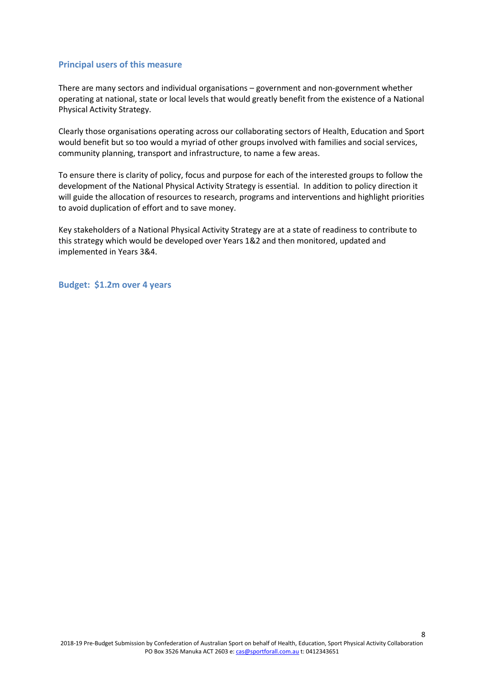#### **Principal users of this measure**

There are many sectors and individual organisations – government and non-government whether operating at national, state or local levels that would greatly benefit from the existence of a National Physical Activity Strategy.

Clearly those organisations operating across our collaborating sectors of Health, Education and Sport would benefit but so too would a myriad of other groups involved with families and social services, community planning, transport and infrastructure, to name a few areas.

To ensure there is clarity of policy, focus and purpose for each of the interested groups to follow the development of the National Physical Activity Strategy is essential. In addition to policy direction it will guide the allocation of resources to research, programs and interventions and highlight priorities to avoid duplication of effort and to save money.

Key stakeholders of a National Physical Activity Strategy are at a state of readiness to contribute to this strategy which would be developed over Years 1&2 and then monitored, updated and implemented in Years 3&4.

**Budget: \$1.2m over 4 years**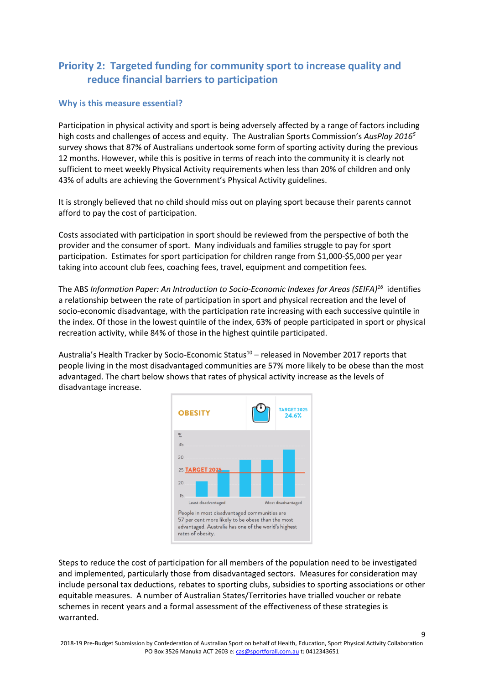## **Priority 2: Targeted funding for community sport to increase quality and reduce financial barriers to participation**

#### **Why is this measure essential?**

Participation in physical activity and sport is being adversely affected by a range of factors including high costs and challenges of access and equity. The Australian Sports Commission's *AusPlay 2016<sup>5</sup>* survey shows that 87% of Australians undertook some form of sporting activity during the previous 12 months. However, while this is positive in terms of reach into the community it is clearly not sufficient to meet weekly Physical Activity requirements when less than 20% of children and only 43% of adults are achieving the Government's Physical Activity guidelines.

It is strongly believed that no child should miss out on playing sport because their parents cannot afford to pay the cost of participation.

Costs associated with participation in sport should be reviewed from the perspective of both the provider and the consumer of sport. Many individuals and families struggle to pay for sport participation. Estimates for sport participation for children range from \$1,000-\$5,000 per year taking into account club fees, coaching fees, travel, equipment and competition fees.

The ABS *Information Paper: An Introduction to Socio-Economic Indexes for Areas (SEIFA)<sup>16</sup>* identifies a relationship between the rate of participation in sport and physical recreation and the level of socio-economic disadvantage, with the participation rate increasing with each successive quintile in the index. Of those in the lowest quintile of the index, 63% of people participated in sport or physical recreation activity, while 84% of those in the highest quintile participated.

Australia's Health Tracker by Socio-Economic Status<sup>10</sup> – released in November 2017 reports that people living in the most disadvantaged communities are 57% more likely to be obese than the most advantaged. The chart below shows that rates of physical activity increase as the levels of disadvantage increase.



Steps to reduce the cost of participation for all members of the population need to be investigated and implemented, particularly those from disadvantaged sectors. Measures for consideration may include personal tax deductions, rebates to sporting clubs, subsidies to sporting associations or other equitable measures. A number of Australian States/Territories have trialled voucher or rebate schemes in recent years and a formal assessment of the effectiveness of these strategies is warranted.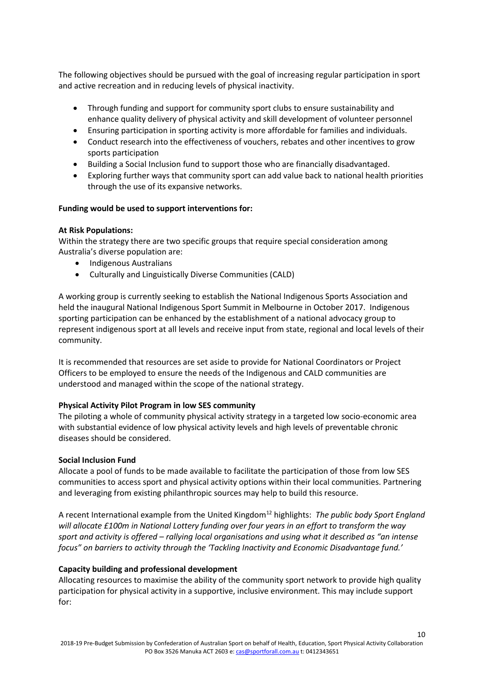The following objectives should be pursued with the goal of increasing regular participation in sport and active recreation and in reducing levels of physical inactivity.

- Through funding and support for community sport clubs to ensure sustainability and enhance quality delivery of physical activity and skill development of volunteer personnel
- Ensuring participation in sporting activity is more affordable for families and individuals.
- Conduct research into the effectiveness of vouchers, rebates and other incentives to grow sports participation
- Building a Social Inclusion fund to support those who are financially disadvantaged.
- Exploring further ways that community sport can add value back to national health priorities through the use of its expansive networks.

#### **Funding would be used to support interventions for:**

#### **At Risk Populations:**

Within the strategy there are two specific groups that require special consideration among Australia's diverse population are:

- Indigenous Australians
- Culturally and Linguistically Diverse Communities (CALD)

A working group is currently seeking to establish the National Indigenous Sports Association and held the inaugural National Indigenous Sport Summit in Melbourne in October 2017. Indigenous sporting participation can be enhanced by the establishment of a national advocacy group to represent indigenous sport at all levels and receive input from state, regional and local levels of their community.

It is recommended that resources are set aside to provide for National Coordinators or Project Officers to be employed to ensure the needs of the Indigenous and CALD communities are understood and managed within the scope of the national strategy.

#### **Physical Activity Pilot Program in low SES community**

The piloting a whole of community physical activity strategy in a targeted low socio-economic area with substantial evidence of low physical activity levels and high levels of preventable chronic diseases should be considered.

#### **Social Inclusion Fund**

Allocate a pool of funds to be made available to facilitate the participation of those from low SES communities to access sport and physical activity options within their local communities. Partnering and leveraging from existing philanthropic sources may help to build this resource.

A recent International example from the United Kingdom<sup>12</sup> highlights: *The public body Sport England will allocate £100m in National Lottery funding over four years in an effort to transform the way sport and activity is offered – rallying local organisations and using what it described as "an intense focus" on barriers to activity through the 'Tackling Inactivity and Economic Disadvantage fund.'* 

#### **Capacity building and professional development**

Allocating resources to maximise the ability of the community sport network to provide high quality participation for physical activity in a supportive, inclusive environment. This may include support for: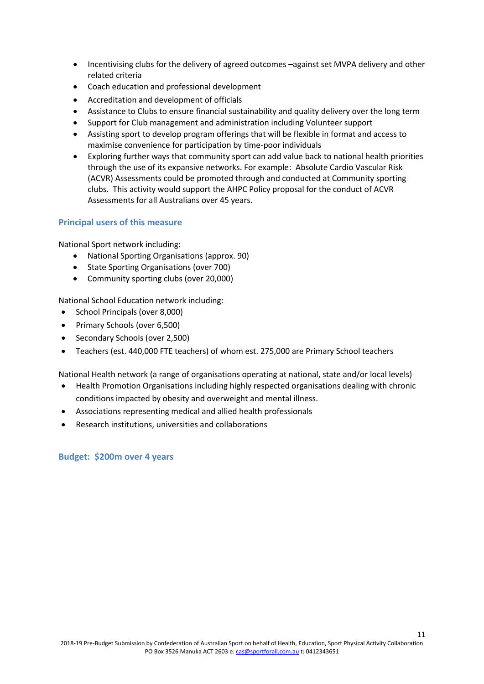- Incentivising clubs for the delivery of agreed outcomes –against set MVPA delivery and other related criteria
- Coach education and professional development
- Accreditation and development of officials
- Assistance to Clubs to ensure financial sustainability and quality delivery over the long term
- Support for Club management and administration including Volunteer support
- Assisting sport to develop program offerings that will be flexible in format and access to maximise convenience for participation by time-poor individuals
- Exploring further ways that community sport can add value back to national health priorities through the use of its expansive networks. For example: Absolute Cardio Vascular Risk (ACVR) Assessments could be promoted through and conducted at Community sporting clubs. This activity would support the AHPC Policy proposal for the conduct of ACVR Assessments for all Australians over 45 years.

#### **Principal users of this measure**

National Sport network including:

- National Sporting Organisations (approx. 90)
- State Sporting Organisations (over 700)
- Community sporting clubs (over 20,000)

National School Education network including:

- School Principals (over 8,000)
- Primary Schools (over 6,500)
- Secondary Schools (over 2,500)
- Teachers (est. 440,000 FTE teachers) of whom est. 275,000 are Primary School teachers

National Health network (a range of organisations operating at national, state and/or local levels)

- Health Promotion Organisations including highly respected organisations dealing with chronic conditions impacted by obesity and overweight and mental illness.
- Associations representing medical and allied health professionals
- Research institutions, universities and collaborations

**Budget: \$200m over 4 years**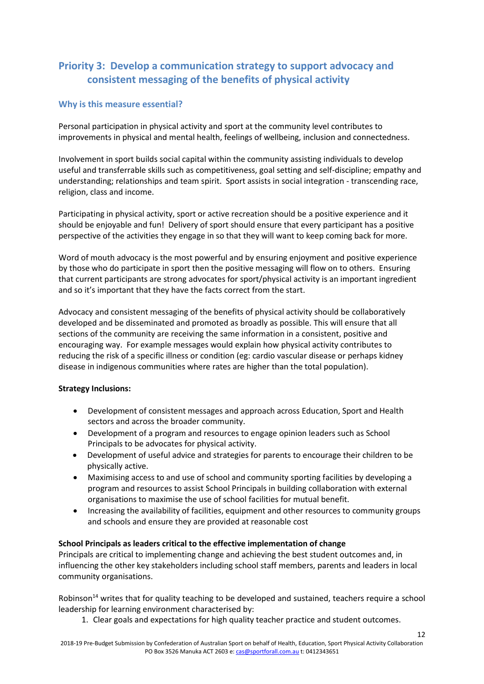## **Priority 3: Develop a communication strategy to support advocacy and consistent messaging of the benefits of physical activity**

#### **Why is this measure essential?**

Personal participation in physical activity and sport at the community level contributes to improvements in physical and mental health, feelings of wellbeing, inclusion and connectedness.

Involvement in sport builds social capital within the community assisting individuals to develop useful and transferrable skills such as competitiveness, goal setting and self-discipline; empathy and understanding; relationships and team spirit. Sport assists in social integration - transcending race, religion, class and income.

Participating in physical activity, sport or active recreation should be a positive experience and it should be enjoyable and fun! Delivery of sport should ensure that every participant has a positive perspective of the activities they engage in so that they will want to keep coming back for more.

Word of mouth advocacy is the most powerful and by ensuring enjoyment and positive experience by those who do participate in sport then the positive messaging will flow on to others. Ensuring that current participants are strong advocates for sport/physical activity is an important ingredient and so it's important that they have the facts correct from the start.

Advocacy and consistent messaging of the benefits of physical activity should be collaboratively developed and be disseminated and promoted as broadly as possible. This will ensure that all sections of the community are receiving the same information in a consistent, positive and encouraging way. For example messages would explain how physical activity contributes to reducing the risk of a specific illness or condition (eg: cardio vascular disease or perhaps kidney disease in indigenous communities where rates are higher than the total population).

#### **Strategy Inclusions:**

- Development of consistent messages and approach across Education, Sport and Health sectors and across the broader community.
- Development of a program and resources to engage opinion leaders such as School Principals to be advocates for physical activity.
- Development of useful advice and strategies for parents to encourage their children to be physically active.
- Maximising access to and use of school and community sporting facilities by developing a program and resources to assist School Principals in building collaboration with external organisations to maximise the use of school facilities for mutual benefit.
- Increasing the availability of facilities, equipment and other resources to community groups and schools and ensure they are provided at reasonable cost

#### **School Principals as leaders critical to the effective implementation of change**

Principals are critical to implementing change and achieving the best student outcomes and, in influencing the other key stakeholders including school staff members, parents and leaders in local community organisations.

Robinson<sup>14</sup> writes that for quality teaching to be developed and sustained, teachers require a school leadership for learning environment characterised by:

1. Clear goals and expectations for high quality teacher practice and student outcomes.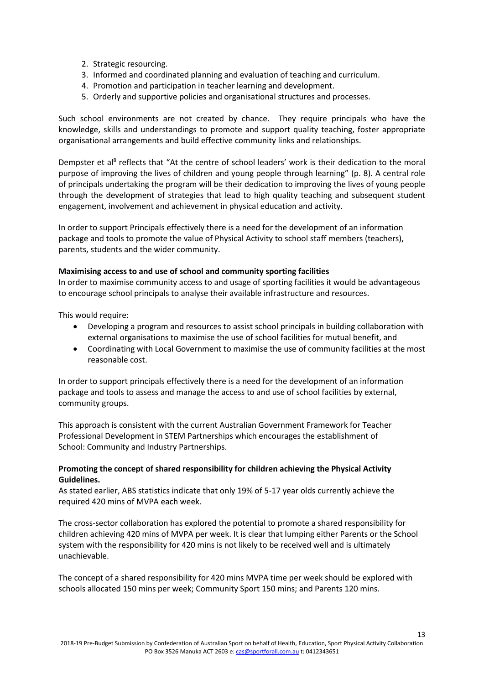- 2. Strategic resourcing.
- 3. Informed and coordinated planning and evaluation of teaching and curriculum.
- 4. Promotion and participation in teacher learning and development.
- 5. Orderly and supportive policies and organisational structures and processes.

Such school environments are not created by chance. They require principals who have the knowledge, skills and understandings to promote and support quality teaching, foster appropriate organisational arrangements and build effective community links and relationships.

Dempster et al<sup>8</sup> reflects that "At the centre of school leaders' work is their dedication to the moral purpose of improving the lives of children and young people through learning" (p. 8). A central role of principals undertaking the program will be their dedication to improving the lives of young people through the development of strategies that lead to high quality teaching and subsequent student engagement, involvement and achievement in physical education and activity.

In order to support Principals effectively there is a need for the development of an information package and tools to promote the value of Physical Activity to school staff members (teachers), parents, students and the wider community.

#### **Maximising access to and use of school and community sporting facilities**

In order to maximise community access to and usage of sporting facilities it would be advantageous to encourage school principals to analyse their available infrastructure and resources.

This would require:

- Developing a program and resources to assist school principals in building collaboration with external organisations to maximise the use of school facilities for mutual benefit, and
- Coordinating with Local Government to maximise the use of community facilities at the most reasonable cost.

In order to support principals effectively there is a need for the development of an information package and tools to assess and manage the access to and use of school facilities by external, community groups.

This approach is consistent with the current Australian Government Framework for Teacher Professional Development in STEM Partnerships which encourages the establishment of School: Community and Industry Partnerships.

#### **Promoting the concept of shared responsibility for children achieving the Physical Activity Guidelines.**

As stated earlier, ABS statistics indicate that only 19% of 5-17 year olds currently achieve the required 420 mins of MVPA each week.

The cross-sector collaboration has explored the potential to promote a shared responsibility for children achieving 420 mins of MVPA per week. It is clear that lumping either Parents or the School system with the responsibility for 420 mins is not likely to be received well and is ultimately unachievable.

The concept of a shared responsibility for 420 mins MVPA time per week should be explored with schools allocated 150 mins per week; Community Sport 150 mins; and Parents 120 mins.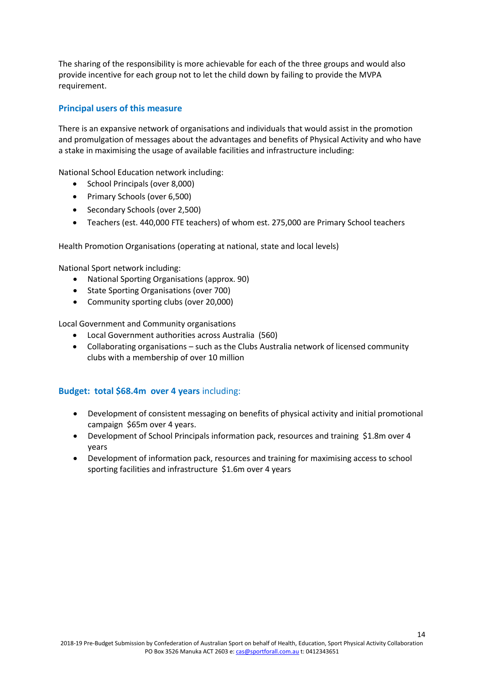The sharing of the responsibility is more achievable for each of the three groups and would also provide incentive for each group not to let the child down by failing to provide the MVPA requirement.

#### **Principal users of this measure**

There is an expansive network of organisations and individuals that would assist in the promotion and promulgation of messages about the advantages and benefits of Physical Activity and who have a stake in maximising the usage of available facilities and infrastructure including:

National School Education network including:

- School Principals (over 8,000)
- Primary Schools (over 6,500)
- Secondary Schools (over 2,500)
- Teachers (est. 440,000 FTE teachers) of whom est. 275,000 are Primary School teachers

Health Promotion Organisations (operating at national, state and local levels)

National Sport network including:

- National Sporting Organisations (approx. 90)
- State Sporting Organisations (over 700)
- Community sporting clubs (over 20,000)

Local Government and Community organisations

- Local Government authorities across Australia (560)
- Collaborating organisations such as the Clubs Australia network of licensed community clubs with a membership of over 10 million

#### **Budget: total \$68.4m over 4 years** including:

- Development of consistent messaging on benefits of physical activity and initial promotional campaign \$65m over 4 years.
- Development of School Principals information pack, resources and training \$1.8m over 4 years
- Development of information pack, resources and training for maximising access to school sporting facilities and infrastructure \$1.6m over 4 years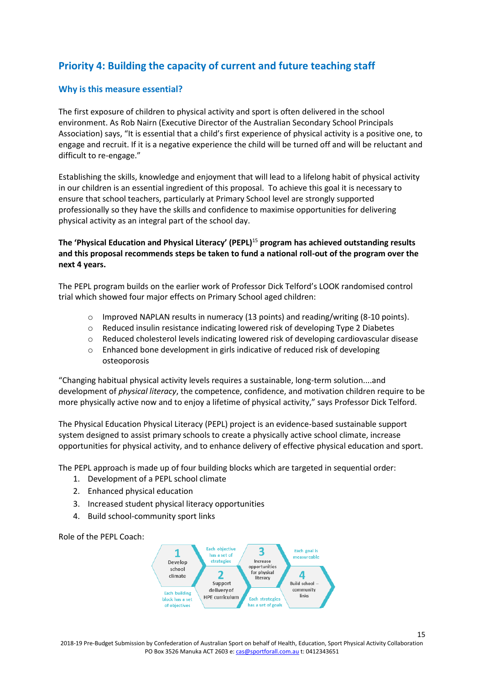## **Priority 4: Building the capacity of current and future teaching staff**

#### **Why is this measure essential?**

The first exposure of children to physical activity and sport is often delivered in the school environment. As Rob Nairn (Executive Director of the Australian Secondary School Principals Association) says, "It is essential that a child's first experience of physical activity is a positive one, to engage and recruit. If it is a negative experience the child will be turned off and will be reluctant and difficult to re-engage."

Establishing the skills, knowledge and enjoyment that will lead to a lifelong habit of physical activity in our children is an essential ingredient of this proposal. To achieve this goal it is necessary to ensure that school teachers, particularly at Primary School level are strongly supported professionally so they have the skills and confidence to maximise opportunities for delivering physical activity as an integral part of the school day.

#### **The 'Physical Education and Physical Literacy' (PEPL)**<sup>15</sup> **program has achieved outstanding results and this proposal recommends steps be taken to fund a national roll-out of the program over the next 4 years.**

The PEPL program builds on the earlier work of Professor Dick Telford's LOOK randomised control trial which showed four major effects on Primary School aged children:

- $\circ$  Improved NAPLAN results in numeracy (13 points) and reading/writing (8-10 points).
- $\circ$  Reduced insulin resistance indicating lowered risk of developing Type 2 Diabetes
- o Reduced cholesterol levels indicating lowered risk of developing cardiovascular disease
- o Enhanced bone development in girls indicative of reduced risk of developing osteoporosis

"Changing habitual physical activity levels requires a sustainable, long-term solution....and development of *physical literacy*, the competence, confidence, and motivation children require to be more physically active now and to enjoy a lifetime of physical activity," says Professor Dick Telford.

The Physical Education Physical Literacy (PEPL) project is an evidence-based sustainable support system designed to assist primary schools to create a physically active school climate, increase opportunities for physical activity, and to enhance delivery of effective physical education and sport.

The PEPL approach is made up of four building blocks which are targeted in sequential order:

- 1. Development of a PEPL school climate
- 2. Enhanced physical education
- 3. Increased student physical literacy opportunities
- 4. Build school-community sport links



Role of the PEPL Coach: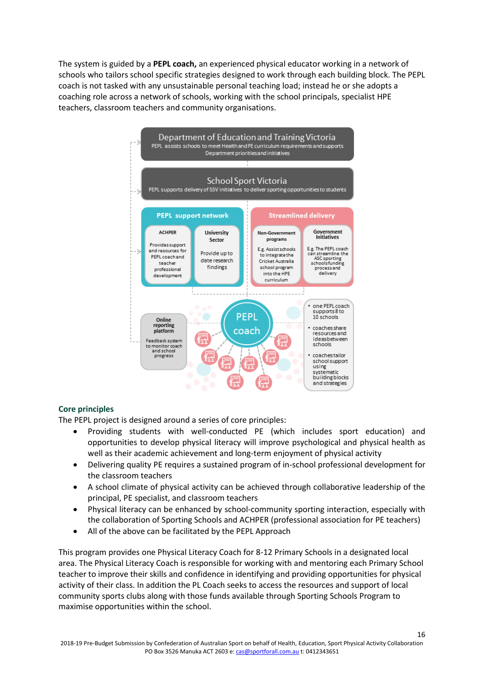The system is guided by a **PEPL coach,** an experienced physical educator working in a network of schools who tailors school specific strategies designed to work through each building block. The PEPL coach is not tasked with any unsustainable personal teaching load; instead he or she adopts a coaching role across a network of schools, working with the school principals, specialist HPE teachers, classroom teachers and community organisations.



#### **Core principles**

The PEPL project is designed around a series of core principles:

- Providing students with well-conducted PE (which includes sport education) and opportunities to develop physical literacy will improve psychological and physical health as well as their academic achievement and long-term enjoyment of physical activity
- Delivering quality PE requires a sustained program of in-school professional development for the classroom teachers
- A school climate of physical activity can be achieved through collaborative leadership of the principal, PE specialist, and classroom teachers
- Physical literacy can be enhanced by school-community sporting interaction, especially with the collaboration of Sporting Schools and ACHPER (professional association for PE teachers)
- All of the above can be facilitated by the PEPL Approach

This program provides one Physical Literacy Coach for 8-12 Primary Schools in a designated local area. The Physical Literacy Coach is responsible for working with and mentoring each Primary School teacher to improve their skills and confidence in identifying and providing opportunities for physical activity of their class. In addition the PL Coach seeks to access the resources and support of local community sports clubs along with those funds available through Sporting Schools Program to maximise opportunities within the school.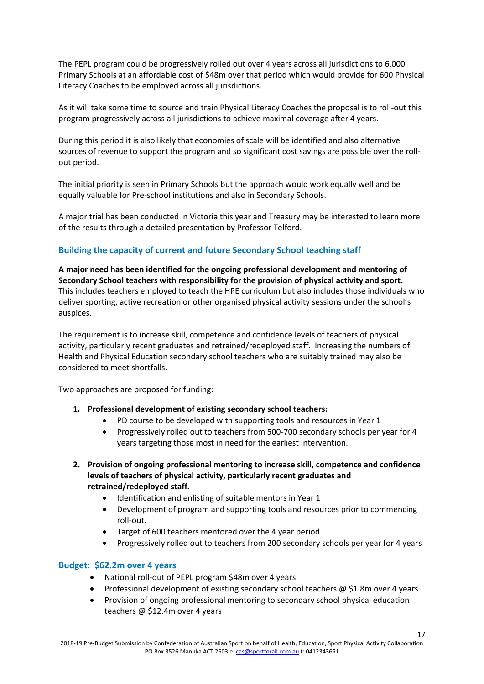The PEPL program could be progressively rolled out over 4 years across all jurisdictions to 6,000 Primary Schools at an affordable cost of \$48m over that period which would provide for 600 Physical Literacy Coaches to be employed across all jurisdictions.

As it will take some time to source and train Physical Literacy Coaches the proposal is to roll-out this program progressively across all jurisdictions to achieve maximal coverage after 4 years.

During this period it is also likely that economies of scale will be identified and also alternative sources of revenue to support the program and so significant cost savings are possible over the rollout period.

The initial priority is seen in Primary Schools but the approach would work equally well and be equally valuable for Pre-school institutions and also in Secondary Schools.

A major trial has been conducted in Victoria this year and Treasury may be interested to learn more of the results through a detailed presentation by Professor Telford.

#### **Building the capacity of current and future Secondary School teaching staff**

**A major need has been identified for the ongoing professional development and mentoring of Secondary School teachers with responsibility for the provision of physical activity and sport.** This includes teachers employed to teach the HPE curriculum but also includes those individuals who deliver sporting, active recreation or other organised physical activity sessions under the school's auspices.

The requirement is to increase skill, competence and confidence levels of teachers of physical activity, particularly recent graduates and retrained/redeployed staff. Increasing the numbers of Health and Physical Education secondary school teachers who are suitably trained may also be considered to meet shortfalls.

Two approaches are proposed for funding:

- **1. Professional development of existing secondary school teachers:**
	- PD course to be developed with supporting tools and resources in Year 1
	- Progressively rolled out to teachers from 500-700 secondary schools per year for 4 years targeting those most in need for the earliest intervention.
- **2. Provision of ongoing professional mentoring to increase skill, competence and confidence levels of teachers of physical activity, particularly recent graduates and retrained/redeployed staff.**
	- Identification and enlisting of suitable mentors in Year 1
	- Development of program and supporting tools and resources prior to commencing roll-out.
	- Target of 600 teachers mentored over the 4 year period
	- Progressively rolled out to teachers from 200 secondary schools per year for 4 years

#### **Budget: \$62.2m over 4 years**

- National roll-out of PEPL program \$48m over 4 years
- Professional development of existing secondary school teachers  $\omega$  \$1.8m over 4 years

17

• Provision of ongoing professional mentoring to secondary school physical education teachers @ \$12.4m over 4 years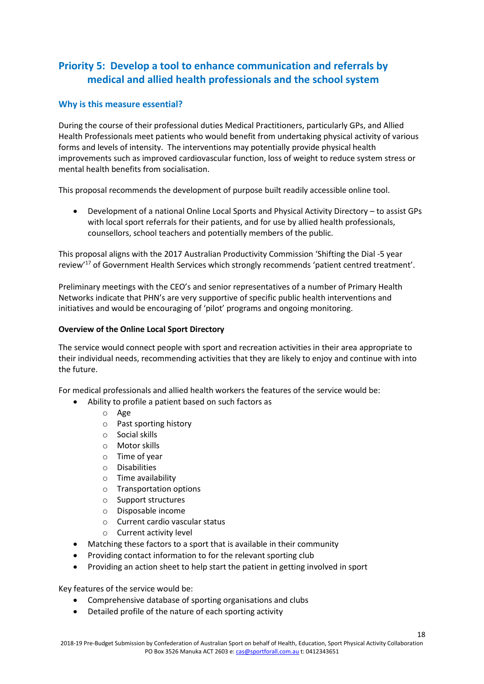## **Priority 5: Develop a tool to enhance communication and referrals by medical and allied health professionals and the school system**

#### **Why is this measure essential?**

During the course of their professional duties Medical Practitioners, particularly GPs, and Allied Health Professionals meet patients who would benefit from undertaking physical activity of various forms and levels of intensity. The interventions may potentially provide physical health improvements such as improved cardiovascular function, loss of weight to reduce system stress or mental health benefits from socialisation.

This proposal recommends the development of purpose built readily accessible online tool.

• Development of a national Online Local Sports and Physical Activity Directory – to assist GPs with local sport referrals for their patients, and for use by allied health professionals, counsellors, school teachers and potentially members of the public.

This proposal aligns with the 2017 Australian Productivity Commission 'Shifting the Dial -5 year review'<sup>17</sup> of Government Health Services which strongly recommends 'patient centred treatment'.

Preliminary meetings with the CEO's and senior representatives of a number of Primary Health Networks indicate that PHN's are very supportive of specific public health interventions and initiatives and would be encouraging of 'pilot' programs and ongoing monitoring.

#### **Overview of the Online Local Sport Directory**

The service would connect people with sport and recreation activities in their area appropriate to their individual needs, recommending activities that they are likely to enjoy and continue with into the future.

For medical professionals and allied health workers the features of the service would be:

- Ability to profile a patient based on such factors as
	- o Age
	- o Past sporting history
	- o Social skills
	- o Motor skills
	- o Time of year
	- o Disabilities
	- o Time availability
	- o Transportation options
	- o Support structures
	- o Disposable income
	- o Current cardio vascular status
	- o Current activity level
- Matching these factors to a sport that is available in their community
- Providing contact information to for the relevant sporting club
- Providing an action sheet to help start the patient in getting involved in sport

Key features of the service would be:

- Comprehensive database of sporting organisations and clubs
- Detailed profile of the nature of each sporting activity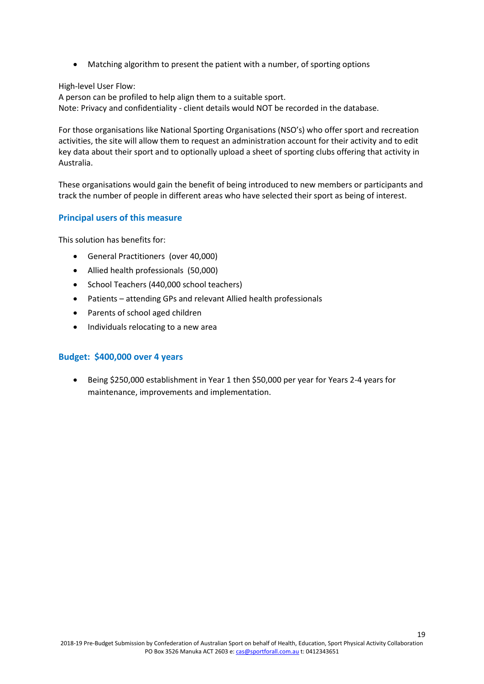• Matching algorithm to present the patient with a number, of sporting options

High-level User Flow:

A person can be profiled to help align them to a suitable sport. Note: Privacy and confidentiality - client details would NOT be recorded in the database.

For those organisations like National Sporting Organisations (NSO's) who offer sport and recreation activities, the site will allow them to request an administration account for their activity and to edit key data about their sport and to optionally upload a sheet of sporting clubs offering that activity in Australia.

These organisations would gain the benefit of being introduced to new members or participants and track the number of people in different areas who have selected their sport as being of interest.

#### **Principal users of this measure**

This solution has benefits for:

- General Practitioners (over 40,000)
- Allied health professionals (50,000)
- School Teachers (440,000 school teachers)
- Patients attending GPs and relevant Allied health professionals
- Parents of school aged children
- Individuals relocating to a new area

#### **Budget: \$400,000 over 4 years**

• Being \$250,000 establishment in Year 1 then \$50,000 per year for Years 2-4 years for maintenance, improvements and implementation.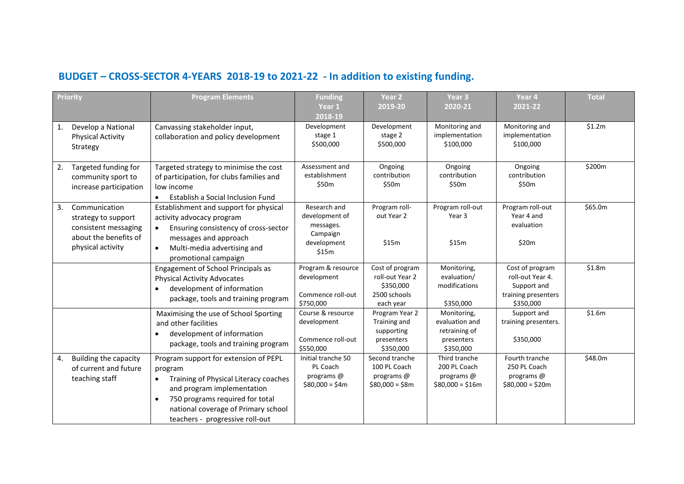## **BUDGET – CROSS-SECTOR 4-YEARS 2018-19 to 2021-22 - In addition to existing funding.**

|    | <b>Priority</b>                                                                                            | <b>Program Elements</b>                                                                                                                                                                                                                           | <b>Funding</b>                                                                  | Year <sub>2</sub>                                                            | Year <sub>3</sub>                                                         | Year 4                                                                                 | <b>Total</b> |
|----|------------------------------------------------------------------------------------------------------------|---------------------------------------------------------------------------------------------------------------------------------------------------------------------------------------------------------------------------------------------------|---------------------------------------------------------------------------------|------------------------------------------------------------------------------|---------------------------------------------------------------------------|----------------------------------------------------------------------------------------|--------------|
|    |                                                                                                            |                                                                                                                                                                                                                                                   | Year 1                                                                          | 2019-20                                                                      | 2020-21                                                                   | 2021-22                                                                                |              |
|    |                                                                                                            |                                                                                                                                                                                                                                                   | 2018-19                                                                         |                                                                              |                                                                           |                                                                                        |              |
| 1. | Develop a National<br><b>Physical Activity</b><br>Strategy                                                 | Canvassing stakeholder input,<br>collaboration and policy development                                                                                                                                                                             | Development<br>stage 1<br>\$500,000                                             | Development<br>stage 2<br>\$500,000                                          | Monitoring and<br>implementation<br>\$100,000                             | Monitoring and<br>implementation<br>\$100,000                                          | \$1.2m       |
| 2. | Targeted funding for<br>community sport to<br>increase participation                                       | Targeted strategy to minimise the cost<br>of participation, for clubs families and<br>low income<br>Establish a Social Inclusion Fund                                                                                                             | Assessment and<br>establishment<br>\$50m                                        | Ongoing<br>contribution<br>\$50m                                             | Ongoing<br>contribution<br>\$50m                                          | Ongoing<br>contribution<br>\$50m                                                       | \$200m       |
| 3. | Communication<br>strategy to support<br>consistent messaging<br>about the benefits of<br>physical activity | Establishment and support for physical<br>activity advocacy program<br>Ensuring consistency of cross-sector<br>$\bullet$<br>messages and approach<br>Multi-media advertising and<br>promotional campaign                                          | Research and<br>development of<br>messages.<br>Campaign<br>development<br>\$15m | Program roll-<br>out Year 2<br>\$15m                                         | Program roll-out<br>Year 3<br>\$15m                                       | Program roll-out<br>Year 4 and<br>evaluation<br>\$20m                                  | \$65.0m      |
|    |                                                                                                            | Engagement of School Principals as<br><b>Physical Activity Advocates</b><br>development of information<br>$\bullet$<br>package, tools and training program                                                                                        | Program & resource<br>development<br>Commence roll-out<br>\$750,000             | Cost of program<br>roll-out Year 2<br>\$350,000<br>2500 schools<br>each year | Monitoring,<br>evaluation/<br>modifications<br>\$350,000                  | Cost of program<br>roll-out Year 4.<br>Support and<br>training presenters<br>\$350,000 | \$1.8m       |
|    |                                                                                                            | Maximising the use of School Sporting<br>and other facilities<br>development of information<br>$\bullet$<br>package, tools and training program                                                                                                   | Course & resource<br>development<br>Commence roll-out<br>\$550,000              | Program Year 2<br>Training and<br>supporting<br>presenters<br>\$350,000      | Monitoring,<br>evaluation and<br>retraining of<br>presenters<br>\$350,000 | Support and<br>training presenters.<br>\$350,000                                       | \$1.6m       |
| 4. | Building the capacity<br>of current and future<br>teaching staff                                           | Program support for extension of PEPL<br>program<br>Training of Physical Literacy coaches<br>$\bullet$<br>and program implementation<br>750 programs required for total<br>national coverage of Primary school<br>teachers - progressive roll-out | Initial tranche 50<br>PL Coach<br>programs @<br>$$80,000 = $4m$                 | Second tranche<br>100 PL Coach<br>programs @<br>$$80,000 = $8m$              | Third tranche<br>200 PL Coach<br>programs @<br>$$80,000 = $16m$           | Fourth tranche<br>250 PL Coach<br>programs @<br>$$80,000 = $20m$                       | \$48.0m      |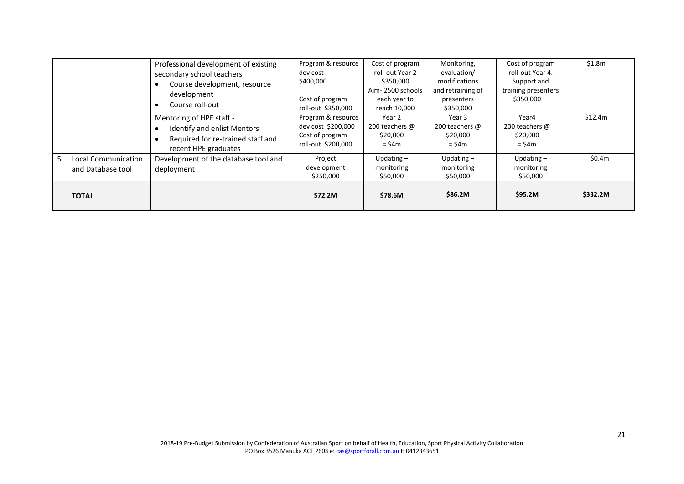|                                                | Professional development of existing<br>secondary school teachers<br>Course development, resource<br>$\bullet$<br>development<br>Course roll-out<br>$\bullet$ | Program & resource<br>dev cost<br>\$400,000<br>Cost of program<br>roll-out \$350,000 | Cost of program<br>roll-out Year 2<br>\$350,000<br>Aim-2500 schools<br>each year to<br>reach 10,000 | Monitoring,<br>evaluation/<br>modifications<br>and retraining of<br>presenters<br>\$350,000 | Cost of program<br>roll-out Year 4.<br>Support and<br>training presenters<br>\$350,000 | \$1.8m   |
|------------------------------------------------|---------------------------------------------------------------------------------------------------------------------------------------------------------------|--------------------------------------------------------------------------------------|-----------------------------------------------------------------------------------------------------|---------------------------------------------------------------------------------------------|----------------------------------------------------------------------------------------|----------|
|                                                | Mentoring of HPE staff -<br>Identify and enlist Mentors<br>$\bullet$<br>Required for re-trained staff and<br>$\bullet$<br>recent HPE graduates                | Program & resource<br>dev cost \$200,000<br>Cost of program<br>roll-out \$200,000    | Year 2<br>200 teachers @<br>\$20,000<br>$=$ \$4 $m$                                                 | Year 3<br>200 teachers @<br>\$20,000<br>$=$ \$4 $m$                                         | Year4<br>200 teachers @<br>\$20,000<br>$=$ \$4 $m$                                     | \$12.4m  |
| 5.<br>Local Communication<br>and Database tool | Development of the database tool and<br>deployment                                                                                                            | Project<br>development<br>\$250,000                                                  | Updating $-$<br>monitoring<br>\$50,000                                                              | Updating $-$<br>monitoring<br>\$50,000                                                      | Updating $-$<br>monitoring<br>\$50,000                                                 | \$0.4m   |
| <b>TOTAL</b>                                   |                                                                                                                                                               | \$72.2M                                                                              | \$78.6M                                                                                             | \$86.2M                                                                                     | \$95.2M                                                                                | \$332.2M |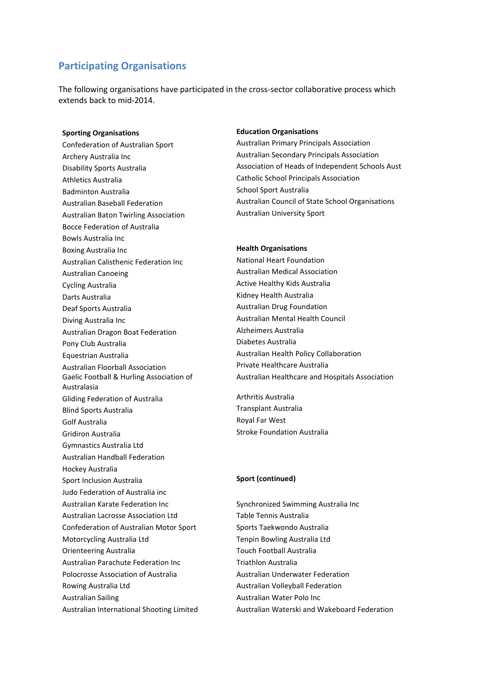### **Participating Organisations**

The following organisations have participated in the cross-sector collaborative process which extends back to mid-2014.

Athletics Australia Catholic School Principals Association Badminton Australia School Sport Australia Australian Baton Twirling Association **Australian University Sport** Bocce Federation of Australia Bowls Australia Inc Boxing Australia Inc **Health Organisations** Australian Calisthenic Federation Inc National Heart Foundation Australian Canoeing **Australian Medical Association** Cycling Australia **Active Healthy Kids Australia** Active Healthy Kids Australia Darts Australia Martin Australia European Martin Australia European Martin Australia Deaf Sports Australia Australian Drug Foundation Diving Australia Inc **Australian Mental Health Council** Australian Dragon Boat Federation **Alzheimers Australia** Pony Club Australia **Diabetes Australia** Equestrian Australia Australian Health Policy Collaboration Australian Floorball Association Private Healthcare Australia Gaelic Football & Hurling Association of Australasia Gliding Federation of Australia Arthritis Australia Blind Sports Australia Transplant Australia Golf Australia and The Royal Far West Gridiron Australia Stroke Foundation Australia Gymnastics Australia Ltd Australian Handball Federation Hockey Australia Sport Inclusion Australia **Sport (continued)** Judo Federation of Australia inc Australian Karate Federation Inc Synchronized Swimming Australia Inc Australian Lacrosse Association Ltd
Table Tennis Australia Confederation of Australian Motor Sport Sports Taekwondo Australia Motorcycling Australia Ltd Tenpin Bowling Australia Ltd Orienteering Australia Touch Football Australia Australian Parachute Federation Inc Triathlon Australia Polocrosse Association of Australia Australian Underwater Federation Rowing Australia Ltd **Australian Volleyball Federation** Australian Sailing **Australian Water Polo Inc** 

#### **Sporting Organisations Education Organisations**

Confederation of Australian Sport **Australian Primary Principals Association** Archery Australia Inc **Australian Secondary Principals Association** Disability Sports Australia Association of Heads of Independent Schools Aust Australian Baseball Federation Australian Council of State School Organisations

Australian Healthcare and Hospitals Association

Australian International Shooting Limited Australian Waterski and Wakeboard Federation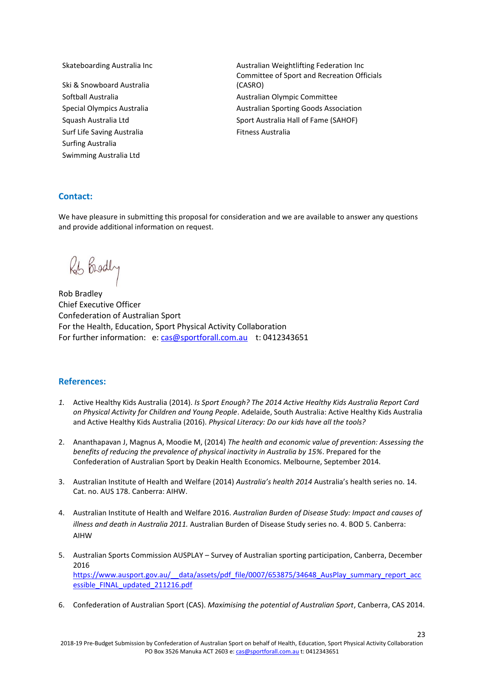- Ski & Snowboard Australia Surf Life Saving Australia Fitness Australia Surfing Australia Swimming Australia Ltd
- Skateboarding Australia Inc **Australian Weightlifting Federation Inc** Australian Weightlifting Federation Inc Committee of Sport and Recreation Officials (CASRO) Softball Australia and an according to the Australian Olympic Committee Special Olympics Australia Australian Sporting Goods Association Squash Australia Ltd Sport Australia Hall of Fame (SAHOF)

#### **Contact:**

We have pleasure in submitting this proposal for consideration and we are available to answer any questions and provide additional information on request.

Rob Brodly

Rob Bradley Chief Executive Officer Confederation of Australian Sport For the Health, Education, Sport Physical Activity Collaboration For further information: e: [cas@sportforall.com.au](mailto:cas@sportforall.com.au) t: 0412343651

#### **References:**

- *1.* Active Healthy Kids Australia (2014). *Is Sport Enough? The 2014 Active Healthy Kids Australia Report Card on Physical Activity for Children and Young People*. Adelaide, South Australia: Active Healthy Kids Australia and Active Healthy Kids Australia (2016). *Physical Literacy: Do our kids have all the tools?*
- 2. Ananthapavan J, Magnus A, Moodie M, (2014) *The health and economic value of prevention: Assessing the benefits of reducing the prevalence of physical inactivity in Australia by 15%*. Prepared for the Confederation of Australian Sport by Deakin Health Economics. Melbourne, September 2014.
- 3. Australian Institute of Health and Welfare (2014) *Australia's health 2014* Australia's health series no. 14. Cat. no. AUS 178. Canberra: AIHW.
- 4. Australian Institute of Health and Welfare 2016. *Australian Burden of Disease Study: Impact and causes of illness and death in Australia 2011.* Australian Burden of Disease Study series no. 4. BOD 5. Canberra: AIHW
- 5. Australian Sports Commission AUSPLAY Survey of Australian sporting participation, Canberra, December 2016 https://www.ausport.gov.au/ data/assets/pdf file/0007/653875/34648 AusPlay summary report acc [essible\\_FINAL\\_updated\\_211216.pdf](https://www.ausport.gov.au/__data/assets/pdf_file/0007/653875/34648_AusPlay_summary_report_accessible_FINAL_updated_211216.pdf)
- 6. Confederation of Australian Sport (CAS). *Maximising the potential of Australian Sport*, Canberra, CAS 2014.